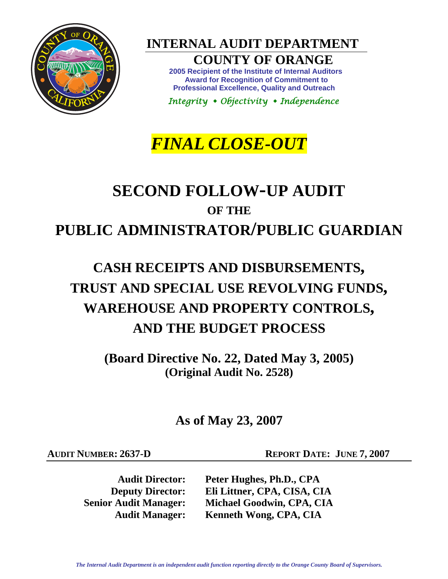

**INTERNAL AUDIT DEPARTMENT** 

# **COUNTY OF ORANGE**

**2005 Recipient of the Institute of Internal Auditors Award for Recognition of Commitment to Professional Excellence, Quality and Outreach** 

 *Integrity Objectivity Independence* 

# *FINAL CLOSE-OUT*

# **SECOND FOLLOW-UP AUDIT OF THE PUBLIC ADMINISTRATOR/PUBLIC GUARDIAN**

# **CASH RECEIPTS AND DISBURSEMENTS, TRUST AND SPECIAL USE REVOLVING FUNDS, WAREHOUSE AND PROPERTY CONTROLS, AND THE BUDGET PROCESS**

**(Board Directive No. 22, Dated May 3, 2005) (Original Audit No. 2528)** 

**As of May 23, 2007** 

**AUDIT NUMBER: 2637-D REPORT DATE: JUNE 7, 2007** 

**Audit Director: Peter Hughes, Ph.D., CPA Deputy Director: Eli Littner, CPA, CISA, CIA Senior Audit Manager: Michael Goodwin, CPA, CIA Audit Manager: Kenneth Wong, CPA, CIA**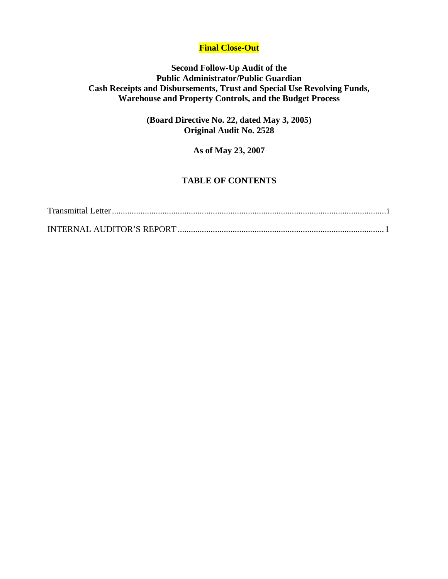# **Final Close-Out**

# **Second Follow-Up Audit of the Public Administrator/Public Guardian Cash Receipts and Disbursements, Trust and Special Use Revolving Funds, Warehouse and Property Controls, and the Budget Process**

**(Board Directive No. 22, dated May 3, 2005) Original Audit No. 2528** 

**As of May 23, 2007** 

# **TABLE OF CONTENTS**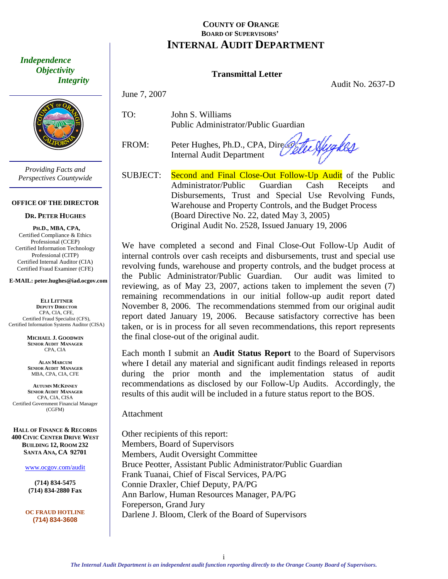<span id="page-2-0"></span> *Independence Objectivity Integrity* 



*Providing Facts and Perspectives Countywide* 

#### **OFFICE OF THE DIRECTOR**

#### **DR. PETER HUGHES**

**PH.D., MBA, CPA,**  Certified Compliance & Ethics Professional (CCEP) Certified Information Technology Professional (CITP) Certified Internal Auditor (CIA) Certified Fraud Examiner (CFE)

**E-MAIL: peter.hughes@iad.ocgov.com** 

**ELI LITTNER DEPUTY DIRECTOR** CPA, CIA, CFE, Certified Fraud Specialist (CFS), Certified Information Systems Auditor (CISA)

> **MICHAEL J. GOODWIN SENIOR AUDIT MANAGER** CPA, CIA

> **ALAN MARCUM SENIOR AUDIT MANAGER** MBA, CPA, CIA, CFE

**AUTUMN MCKINNEY SENIOR AUDIT MANAGER** CPA, CIA, CISA Certified Government Financial Manager (CGFM)

**HALL OF FINANCE & RECORDS 400 CIVIC CENTER DRIVE WEST BUILDING 12, ROOM 232 SANTA ANA, CA 92701** 

www.ocgov.com/audit

**(714) 834-5475 (714) 834-2880 Fax** 

**OC FRAUD HOTLINE (714) 834-3608** 

### **COUNTY OF ORANGE BOARD OF SUPERVISORS' INTERNAL AUDIT DEPARTMENT**

### **Transmittal Letter**

Audit No. 2637-D

June 7, 2007

TO: John S. Williams Public Administrator/Public Guardian

Internal Audit Department

FROM: Peter Hughes, Ph.D., CPA, Directorial Audit Department

SUBJECT: Second and Final Close-Out Follow-Up Audit of the Public Administrator/Public Guardian Cash Receipts and Disbursements, Trust and Special Use Revolving Funds, Warehouse and Property Controls, and the Budget Process (Board Directive No. 22, dated May 3, 2005) Original Audit No. 2528, Issued January 19, 2006

We have completed a second and Final Close-Out Follow-Up Audit of internal controls over cash receipts and disbursements, trust and special use revolving funds, warehouse and property controls, and the budget process at the Public Administrator/Public Guardian. Our audit was limited to reviewing, as of May 23, 2007, actions taken to implement the seven (7) remaining recommendations in our initial follow-up audit report dated November 8, 2006. The recommendations stemmed from our original audit report dated January 19, 2006. Because satisfactory corrective has been taken, or is in process for all seven recommendations, this report represents the final close-out of the original audit.

Each month I submit an **Audit Status Report** to the Board of Supervisors where I detail any material and significant audit findings released in reports during the prior month and the implementation status of audit recommendations as disclosed by our Follow-Up Audits. Accordingly, the results of this audit will be included in a future status report to the BOS.

**Attachment** 

Other recipients of this report: Members, Board of Supervisors Members, Audit Oversight Committee Bruce Peotter, Assistant Public Administrator/Public Guardian Frank Tuanai, Chief of Fiscal Services, PA/PG Connie Draxler, Chief Deputy, PA/PG Ann Barlow, Human Resources Manager, PA/PG Foreperson, Grand Jury Darlene J. Bloom, Clerk of the Board of Supervisors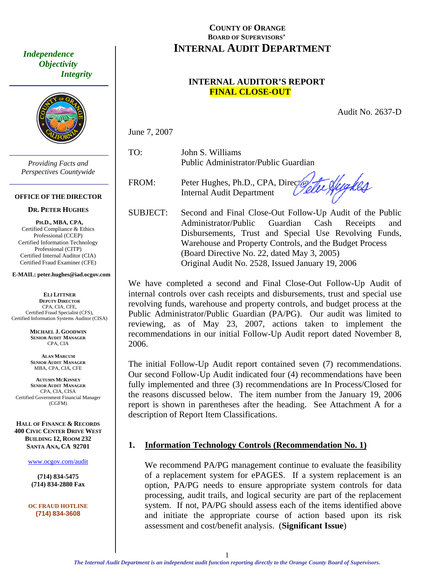*Objectivity Integrity* 



*Providing Facts and Perspectives Countywide* 

#### **OFFICE OF THE DIRECTOR**

#### **DR. PETER HUGHES**

**PH.D., MBA, CPA,**  Certified Compliance & Ethics Professional (CCEP) Certified Information Technology Professional (CITP) Certified Internal Auditor (CIA) Certified Fraud Examiner (CFE)

**E-MAIL: peter.hughes@iad.ocgov.com** 

**ELI LITTNER DEPUTY DIRECTOR** CPA, CIA, CFE, Certified Fraud Specialist (CFS), Certified Information Systems Auditor (CISA)

> **MICHAEL J. GOODWIN SENIOR AUDIT MANAGER** CPA, CIA

**ALAN MARCUM SENIOR AUDIT MANAGER** MBA, CPA, CIA, CFE

**AUTUMN MCKINNEY SENIOR AUDIT MANAGER** CPA, CIA, CISA Certified Government Financial Manager (CGFM)

**HALL OF FINANCE & RECORDS 400 CIVIC CENTER DRIVE WEST BUILDING 12, ROOM 232 SANTA ANA, CA 92701** 

www.ocgov.com/audit

**(714) 834-5475 (714) 834-2880 Fax** 

**OC FRAUD HOTLINE (714) 834-3608** 

# <span id="page-3-0"></span>**COUNTY OF ORANGE BOARD OF SUPERVISORS' INTERNAL AUDIT DEPARTMENT** *Independence*

# **INTERNAL AUDITOR'S REPORT FINAL CLOSE-OUT**

Audit No. 2637-D

June 7, 2007

TO: John S. Williams Public Administrator/Public Guardian

FROM: Peter Hughes, Ph.D., CPA, Director Internal Audit Department

te Slyckes

SUBJECT: Second and Final Close-Out Follow-Up Audit of the Public Administrator/Public Guardian Cash Receipts and Disbursements, Trust and Special Use Revolving Funds, Warehouse and Property Controls, and the Budget Process (Board Directive No. 22, dated May 3, 2005) Original Audit No. 2528, Issued January 19, 2006

We have completed a second and Final Close-Out Follow-Up Audit of internal controls over cash receipts and disbursements, trust and special use revolving funds, warehouse and property controls, and budget process at the Public Administrator/Public Guardian (PA/PG). Our audit was limited to reviewing, as of May 23, 2007, actions taken to implement the recommendations in our initial Follow-Up Audit report dated November 8, 2006.

The initial Follow-Up Audit report contained seven (7) recommendations. Our second Follow-Up Audit indicated four (4) recommendations have been fully implemented and three (3) recommendations are In Process/Closed for the reasons discussed below. The item number from the January 19, 2006 report is shown in parentheses after the heading. See Attachment A for a description of Report Item Classifications.

### **1. Information Technology Controls (Recommendation No. 1)**

We recommend PA/PG management continue to evaluate the feasibility of a replacement system for ePAGES. If a system replacement is an option, PA/PG needs to ensure appropriate system controls for data processing, audit trails, and logical security are part of the replacement system. If not, PA/PG should assess each of the items identified above and initiate the appropriate course of action based upon its risk assessment and cost/benefit analysis. (**Significant Issue**)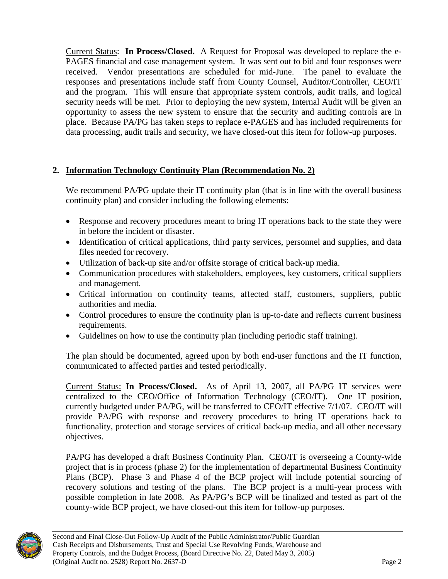Current Status: **In Process/Closed.** A Request for Proposal was developed to replace the e-PAGES financial and case management system. It was sent out to bid and four responses were received. Vendor presentations are scheduled for mid-June. The panel to evaluate the responses and presentations include staff from County Counsel, Auditor/Controller, CEO/IT and the program. This will ensure that appropriate system controls, audit trails, and logical security needs will be met. Prior to deploying the new system, Internal Audit will be given an opportunity to assess the new system to ensure that the security and auditing controls are in place. Because PA/PG has taken steps to replace e-PAGES and has included requirements for data processing, audit trails and security, we have closed-out this item for follow-up purposes.

# **2. Information Technology Continuity Plan (Recommendation No. 2)**

We recommend PA/PG update their IT continuity plan (that is in line with the overall business continuity plan) and consider including the following elements:

- Response and recovery procedures meant to bring IT operations back to the state they were in before the incident or disaster.
- Identification of critical applications, third party services, personnel and supplies, and data files needed for recovery.
- Utilization of back-up site and/or offsite storage of critical back-up media.
- Communication procedures with stakeholders, employees, key customers, critical suppliers and management.
- Critical information on continuity teams, affected staff, customers, suppliers, public authorities and media.
- Control procedures to ensure the continuity plan is up-to-date and reflects current business requirements.
- Guidelines on how to use the continuity plan (including periodic staff training).

The plan should be documented, agreed upon by both end-user functions and the IT function, communicated to affected parties and tested periodically.

Current Status: **In Process/Closed.** As of April 13, 2007, all PA/PG IT services were centralized to the CEO/Office of Information Technology (CEO/IT). One IT position, currently budgeted under PA/PG, will be transferred to CEO/IT effective 7/1/07. CEO/IT will provide PA/PG with response and recovery procedures to bring IT operations back to functionality, protection and storage services of critical back-up media, and all other necessary objectives.

PA/PG has developed a draft Business Continuity Plan. CEO/IT is overseeing a County-wide project that is in process (phase 2) for the implementation of departmental Business Continuity Plans (BCP). Phase 3 and Phase 4 of the BCP project will include potential sourcing of recovery solutions and testing of the plans. The BCP project is a multi-year process with possible completion in late 2008. As PA/PG's BCP will be finalized and tested as part of the county-wide BCP project, we have closed-out this item for follow-up purposes.

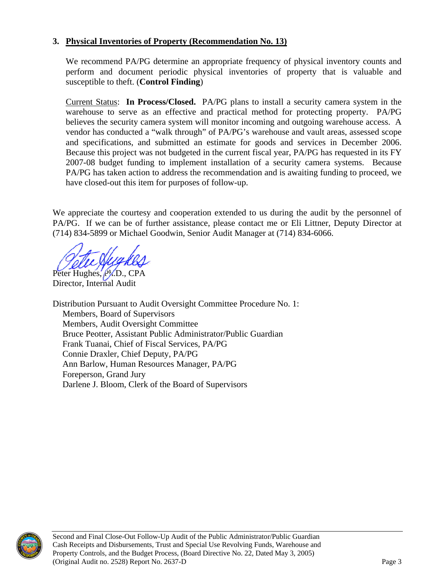# **3. Physical Inventories of Property (Recommendation No. 13)**

We recommend PA/PG determine an appropriate frequency of physical inventory counts and perform and document periodic physical inventories of property that is valuable and susceptible to theft. (**Control Finding**)

Current Status: **In Process/Closed.** PA/PG plans to install a security camera system in the warehouse to serve as an effective and practical method for protecting property. PA/PG believes the security camera system will monitor incoming and outgoing warehouse access. A vendor has conducted a "walk through" of PA/PG's warehouse and vault areas, assessed scope and specifications, and submitted an estimate for goods and services in December 2006. Because this project was not budgeted in the current fiscal year, PA/PG has requested in its FY 2007-08 budget funding to implement installation of a security camera systems. Because PA/PG has taken action to address the recommendation and is awaiting funding to proceed, we have closed-out this item for purposes of follow-up.

We appreciate the courtesy and cooperation extended to us during the audit by the personnel of PA/PG. If we can be of further assistance, please contact me or Eli Littner, Deputy Director at (714) 834-5899 or Michael Goodwin, Senior Audit Manager at (714) 834-6066.

Peter Hughes, PLD., CPA Director, Internal Audit

Distribution Pursuant to Audit Oversight Committee Procedure No. 1: Members, Board of Supervisors Members, Audit Oversight Committee Bruce Peotter, Assistant Public Administrator/Public Guardian Frank Tuanai, Chief of Fiscal Services, PA/PG Connie Draxler, Chief Deputy, PA/PG Ann Barlow, Human Resources Manager, PA/PG Foreperson, Grand Jury Darlene J. Bloom, Clerk of the Board of Supervisors